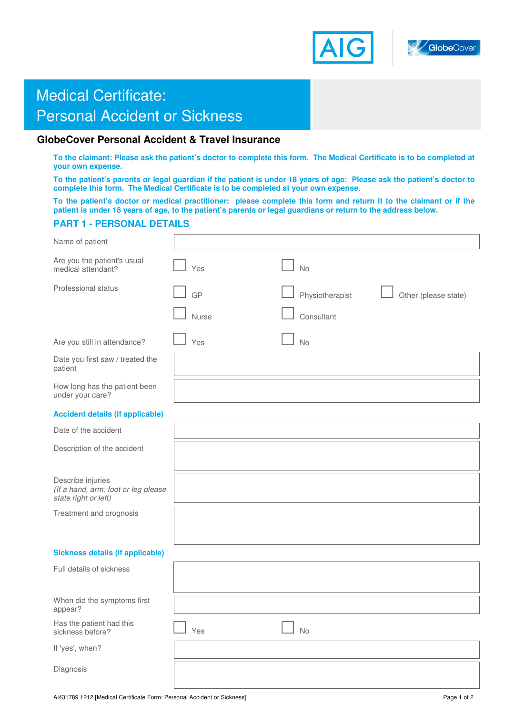



# **Medical Certificate: Cover Accident & Travel Insurance and Insurance and Insurance and Insurance and Insurance and Insurance and Insurance and Insurance and Insurance and Insurance and Insurance and Insurance and Insura Personal Accident or Sickness**

## **GlobeCover Personal Accident & Travel Insurance**

**To the claimant: Please ask the patient's doctor to complete this form. The Medical Certificate is to be completed at your own expense.** 

**To the patient's parents or legal guardian if the patient is under 18 years of age: Please ask the patient's doctor to complete this form. The Medical Certificate is to be completed at your own expense.** 

**To the patient's doctor or medical practitioner: please complete this form and return it to the claimant or if the patient is under 18 years of age, to the patient's parents or legal guardians or return to the address below.** 

### **PART 1 - PERSONAL DETAILS**

| Name of patient                                                                  |       |                                         |
|----------------------------------------------------------------------------------|-------|-----------------------------------------|
| Are you the patient's usual<br>medical attendant?                                | Yes   | <b>No</b>                               |
| Professional status                                                              | GP    | Physiotherapist<br>Other (please state) |
|                                                                                  | Nurse | Consultant                              |
| Are you still in attendance?                                                     | Yes   | <b>No</b>                               |
| Date you first saw / treated the<br>patient                                      |       |                                         |
| How long has the patient been<br>under your care?                                |       |                                         |
| <b>Accident details (if applicable)</b>                                          |       |                                         |
| Date of the accident                                                             |       |                                         |
| Description of the accident                                                      |       |                                         |
| Describe injuries<br>(If a hand, arm, foot or leg please<br>state right or left) |       |                                         |
| Treatment and prognosis                                                          |       |                                         |
|                                                                                  |       |                                         |
| <b>Sickness details (if applicable)</b>                                          |       |                                         |
| Full details of sickness                                                         |       |                                         |
| When did the symptoms first<br>appear?                                           |       |                                         |
| Has the patient had this<br>sickness before?                                     | Yes   | <b>No</b>                               |
| If 'yes', when?                                                                  |       |                                         |
| Diagnosis                                                                        |       |                                         |